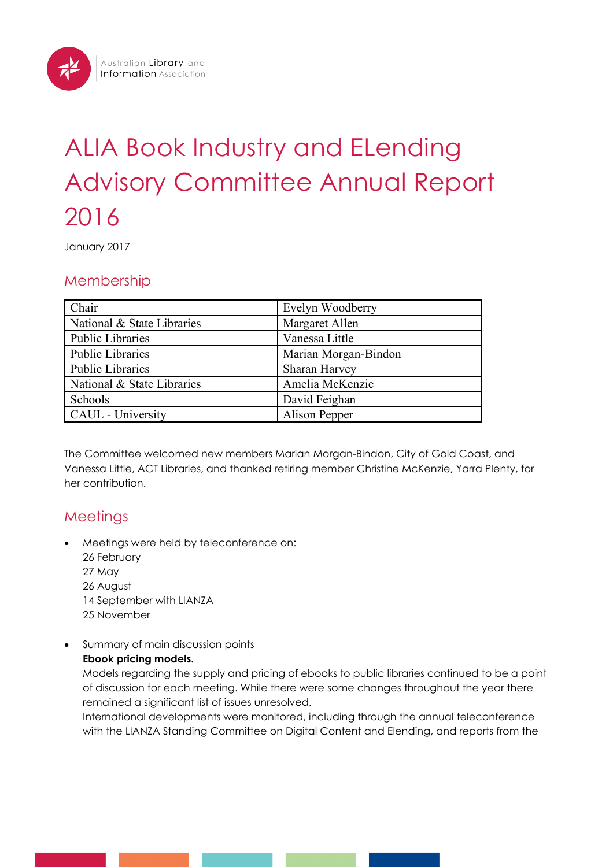# ALIA Book Industry and ELending Advisory Committee Annual Report 2016

January 2017

## Membership

| Chair                      | Evelyn Woodberry     |
|----------------------------|----------------------|
| National & State Libraries | Margaret Allen       |
| <b>Public Libraries</b>    | Vanessa Little       |
| <b>Public Libraries</b>    | Marian Morgan-Bindon |
| <b>Public Libraries</b>    | Sharan Harvey        |
| National & State Libraries | Amelia McKenzie      |
| Schools                    | David Feighan        |
| CAUL - University          | Alison Pepper        |

The Committee welcomed new members Marian Morgan-Bindon, City of Gold Coast, and Vanessa Little, ACT Libraries, and thanked retiring member Christine McKenzie, Yarra Plenty, for her contribution.

# **Meetings**

- Meetings were held by teleconference on:
	- 26 February
	- 27 May
	- 26 August
	- 14 September with LIANZA
	- 25 November
- Summary of main discussion points

## **Ebook pricing models.**

Models regarding the supply and pricing of ebooks to public libraries continued to be a point of discussion for each meeting. While there were some changes throughout the year there remained a significant list of issues unresolved.

International developments were monitored, including through the annual teleconference with the LIANZA Standing Committee on Digital Content and Elending, and reports from the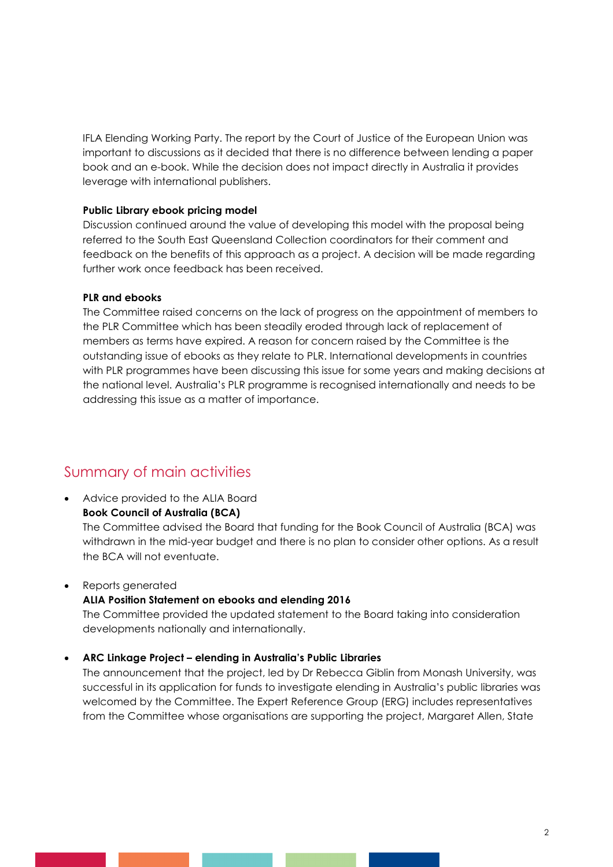IFLA Elending Working Party. The report by the Court of Justice of the European Union was important to discussions as it decided that there is no difference between lending a paper book and an e-book. While the decision does not impact directly in Australia it provides leverage with international publishers.

#### **Public Library ebook pricing model**

Discussion continued around the value of developing this model with the proposal being referred to the South East Queensland Collection coordinators for their comment and feedback on the benefits of this approach as a project. A decision will be made regarding further work once feedback has been received.

#### **PLR and ebooks**

The Committee raised concerns on the lack of progress on the appointment of members to the PLR Committee which has been steadily eroded through lack of replacement of members as terms have expired. A reason for concern raised by the Committee is the outstanding issue of ebooks as they relate to PLR. International developments in countries with PLR programmes have been discussing this issue for some years and making decisions at the national level. Australia's PLR programme is recognised internationally and needs to be addressing this issue as a matter of importance.

## Summary of main activities

• Advice provided to the ALIA Board **Book Council of Australia (BCA)** The Committee advised the Board that funding for the Book Council of Australia (BCA) was withdrawn in the mid-year budget and there is no plan to consider other options. As a result the BCA will not eventuate.

• Reports generated

#### **ALIA Position Statement on ebooks and elending 2016**

The Committee provided the updated statement to the Board taking into consideration developments nationally and internationally.

### • **ARC Linkage Project – elending in Australia's Public Libraries**

The announcement that the project, led by Dr Rebecca Giblin from Monash University, was successful in its application for funds to investigate elending in Australia's public libraries was welcomed by the Committee. The Expert Reference Group (ERG) includes representatives from the Committee whose organisations are supporting the project, Margaret Allen, State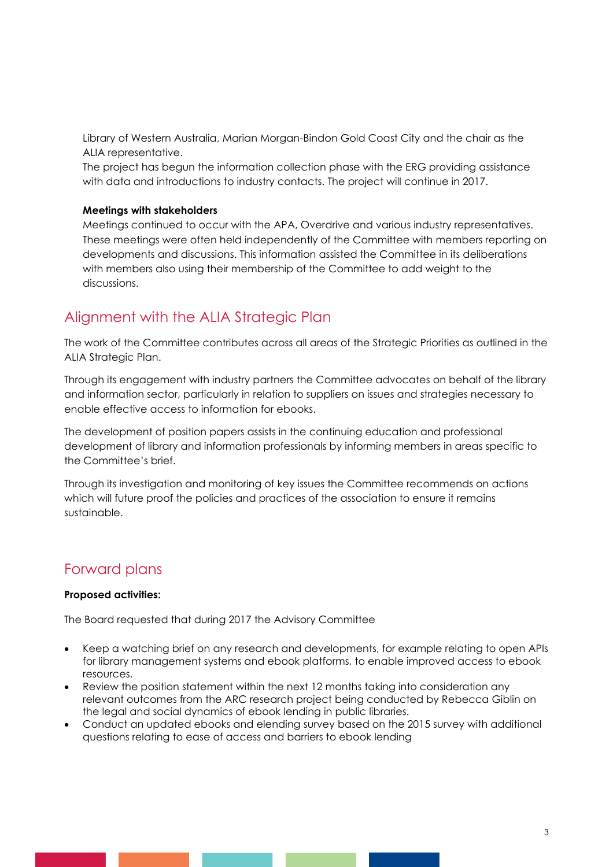Library of Western Australia, Marian Morgan-Bindon Gold Coast City and the chair as the ALIA representative.

The project has begun the information collection phase with the ERG providing assistance with data and introductions to industry contacts. The project will continue in 2017.

#### **Meetings with stakeholders**

Meetings continued to occur with the APA, Overdrive and various industry representatives. These meetings were often held independently of the Committee with members reporting on developments and discussions. This information assisted the Committee in its deliberations with members also using their membership of the Committee to add weight to the discussions.

## Alignment with the ALIA Strategic Plan

The work of the Committee contributes across all areas of the Strategic Priorities as outlined in the ALIA Strategic Plan.

Through its engagement with industry partners the Committee advocates on behalf of the library and information sector, particularly in relation to suppliers on issues and strategies necessary to enable effective access to information for ebooks.

The development of position papers assists in the continuing education and professional development of library and information professionals by informing members in areas specific to the Committee's brief.

Through its investigation and monitoring of key issues the Committee recommends on actions which will future proof the policies and practices of the association to ensure it remains sustainable.

## Forward plans

#### **Proposed activities:**

The Board requested that during 2017 the Advisory Committee

- Keep a watching brief on any research and developments, for example relating to open APIs for library management systems and ebook platforms, to enable improved access to ebook resources.
- Review the position statement within the next 12 months taking into consideration any relevant outcomes from the ARC research project being conducted by Rebecca Giblin on the legal and social dynamics of ebook lending in public libraries.
- Conduct an updated ebooks and elending survey based on the 2015 survey with additional questions relating to ease of access and barriers to ebook lending